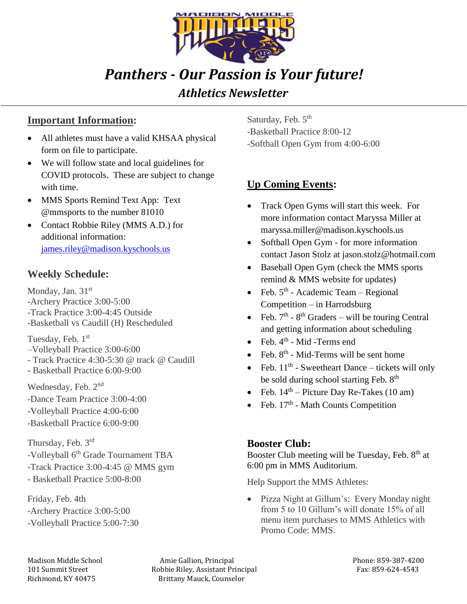

# *Panthers - Our Passion is Your future!*

#### *Athletics Newsletter*

#### **Important Information:**

- All athletes must have a valid KHSAA physical form on file to participate.
- We will follow state and local guidelines for COVID protocols. These are subject to change with time.
- MMS Sports Remind Text App: Text @mmsports to the number 81010
- Contact Robbie Riley (MMS A.D.) for additional information: [james.riley@madison.kyschools.us](mailto:james.riley@madison.kyschools.us)

#### **Weekly Schedule:**

Monday, Jan. 31<sup>st</sup> -Archery Practice 3:00-5:00 -Track Practice 3:00-4:45 Outside -Basketball vs Caudill (H) Rescheduled

Tuesday, Feb. 1st

- –Volleyball Practice 3:00-6:00
- Track Practice 4:30-5:30 @ track @ Caudill
- Basketball Practice 6:00-9:00

Wednesday, Feb. 2nd -Dance Team Practice 3:00-4:00 -Volleyball Practice 4:00-6:00 -Basketball Practice 6:00-9:00

Thursday, Feb. 3rd -Volleyball 6<sup>th</sup> Grade Tournament TBA -Track Practice 3:00-4:45 @ MMS gym - Basketball Practice 5:00-8:00

Friday, Feb. 4th -Archery Practice 3:00-5:00 -Volleyball Practice 5:00-7:30 Saturday, Feb. 5<sup>th</sup> -Basketball Practice 8:00-12 -Softball Open Gym from 4:00-6:00

## **Up Coming Events:**

- Track Open Gyms will start this week. For more information contact Maryssa Miller at maryssa.miller@madison.kyschools.us
- Softball Open Gym for more information contact Jason Stolz at jason.stolz@hotmail.com
- Baseball Open Gym (check the MMS sports remind & MMS website for updates)
- Feb.  $5<sup>th</sup>$  Academic Team Regional Competition – in Harrodsburg
- Feb.  $7<sup>th</sup>$   $8<sup>th</sup>$  Graders will be touring Central and getting information about scheduling
- Feb.  $4^{\text{th}}$  Mid -Terms end
- Feb.  $8^{th}$  Mid-Terms will be sent home
- Feb.  $11<sup>th</sup>$  Sweetheart Dance tickets will only be sold during school starting Feb. 8<sup>th</sup>
- Feb.  $14<sup>th</sup>$  Picture Day Re-Takes (10 am)
- Feb.  $17<sup>th</sup>$  Math Counts Competition

#### **Booster Club:**

Booster Club meeting will be Tuesday, Feb.  $8<sup>th</sup>$  at 6:00 pm in MMS Auditorium.

Help Support the MMS Athletes:

• Pizza Night at Gillum's: Every Monday night from 5 to 10 Gillum's will donate 15% of all menu item purchases to MMS Athletics with Promo Code: MMS.

Madison Middle School **Amie Gallion, Principal** Phone: 859-387-4200 101 Summit Street The Robbie Riley, Assistant Principal Fax: 859-624-4543 Richmond, KY 40475 Brittany Mauck, Counselor